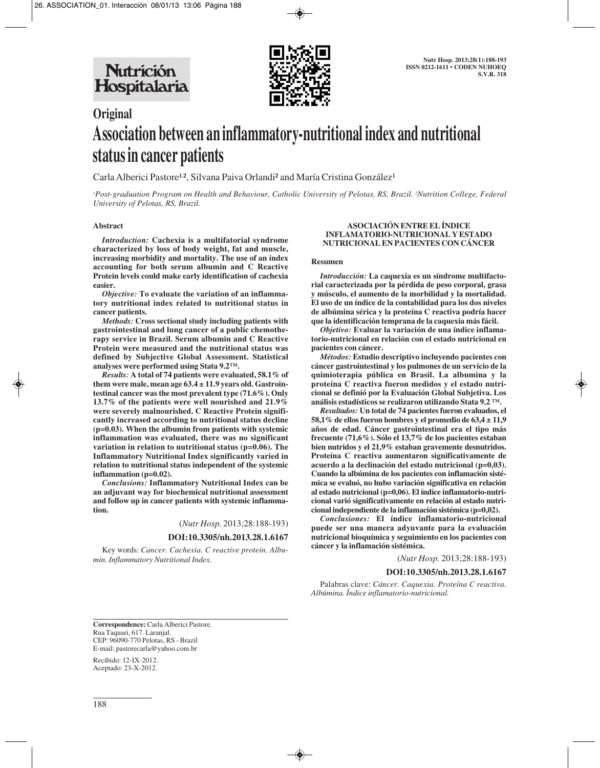

# **Original Association between an inflammatory-nutritional index and nutritional status in cancer patients**

Carla Alberici Pastore<sup>1.2</sup>, Silvana Paiva Orlandi<sup>2</sup> and María Cristina González<sup>1</sup>

*1 Post-graduation Program on Health and Behaviour, Catholic University of Pelotas, RS, Brazil. 2 Nutrition College, Federal University of Pelotas, RS, Brazil.*

#### **Abstract**

*Introduction:* **Cachexia is a multifatorial syndrome characterized by loss of body weight, fat and muscle, increasing morbidity and mortality. The use of an index accounting for both serum albumin and C Reactive Protein levels could make early identification of cachexia easier.**

*Objective:* **To evaluate the variation of an inflammatory nutritional index related to nutritional status in cancer patients.**

*Methods:* **Cross sectional study including patients with gastrointestinal and lung cancer of a public chemotherapy service in Brazil. Serum albumin and C Reactive Protein were measured and the nutritional status was defined by Subjective Global Assessment. Statistical analyses were performed using Stata 9.2™.**

*Results:* **A total of 74 patients were evaluated, 58.1% of them were male, mean age 63.4 ± 11.9 years old. Gastrointestinal cancer was the most prevalent type (71.6%). Only 13.7% of the patients were well nourished and 21.9% were severely malnourished. C Reactive Protein significantly increased according to nutritional status decline (p=0.03). When the albumin from patients with systemic inflammation was evaluated, there was no significant variation in relation to nutritional status (p=0.06). The Inflammatory Nutritional Index significantly varied in relation to nutritional status independent of the systemic inflammation (p=0.02).**

*Conclusions:* **Inflammatory Nutritional Index can be an adjuvant way for biochemical nutritional assessment and follow up in cancer patients with systemic inflammation.** 

(*Nutr Hosp.* 2013;28:188-193)

# **DOI:10.3305/nh.2013.28.1.6167**

Key words: *Cancer. Cachexia. C reactive protein. Albumin. Inflammatory Nutritional Index.*

#### **ASOCIACIÓN ENTRE EL ÍNDICE INFLAMATORIO-NUTRICIONAL Y ESTADO NUTRICIONAL EN PACIENTES CON CÁNCER**

#### **Resumen**

*Introducción:* **La caquexia es un síndrome multifactorial caracterizada por la pérdida de peso corporal, grasa y músculo, el aumento de la morbilidad y la mortalidad. El uso de un índice de la contabilidad para los dos niveles de albúmina sérica y la proteína C reactiva podría hacer que la identificación temprana de la caquexia más fácil.**

*Objetivo:* **Evaluar la variación de una índice inflamatorio-nutricional en relación con el estado nutricional en pacientes con cáncer.**

*Métodos:* **Estudio descriptivo incluyendo pacientes con cáncer gastrointestinal y los pulmones de un servicio de la quimioterapia pública en Brasil. La albumina y la proteína C reactiva fueron medidos y el estado nutricional se definió por la Evaluación Global Subjetiva. Los análisis estadísticos se realizaron utilizando Stata 9.2 ™.**

*Resultados:* **Un total de 74 pacientes fueron evaluados, el 58,1% de ellos fueron hombres y el promedio de 63,4 ± 11,9 años de edad. Cáncer gastrointestinal era el tipo más frecuente (71,6%). Sólo el 13,7% de los pacientes estaban bien nutridos y el 21,9% estaban gravemente desnutridos. Proteína C reactiva aumentaron significativamente de acuerdo a la declinación del estado nutricional (p=0,03). Cuando la albúmina de los pacientes con inflamación sistémica se evaluó, no hubo variación significativa en relación al estado nutricional (p=0,06). El índice inflamatorio-nutricional varió significativamente en relación al estado nutricional independiente de la inflamación sistémica (p=0,02).**

*Conclusiones:* **El índice inflamatorio-nutricional puede ser una manera adyuvante para la evaluación nutricional bioquímica y seguimiento en los pacientes con cáncer y la inflamación sistémica.**

(*Nutr Hosp.* 2013;28:188-193)

# **DOI:10.3305/nh.2013.28.1.6167**

Palabras clave: *Cáncer. Caquexia. Proteína C reactiva. Albúmina. Índice inflamatorio-nutricional.*

**Correspondence:** Carla Alberici Pastore. Rua Taquari, 617. Laranjal. CEP: 96090-770 Pelotas, RS - Brazil E-mail: pastorecarla@yahoo.com.br

Recibido: 12-IX-2012. Aceptado: 23-X-2012.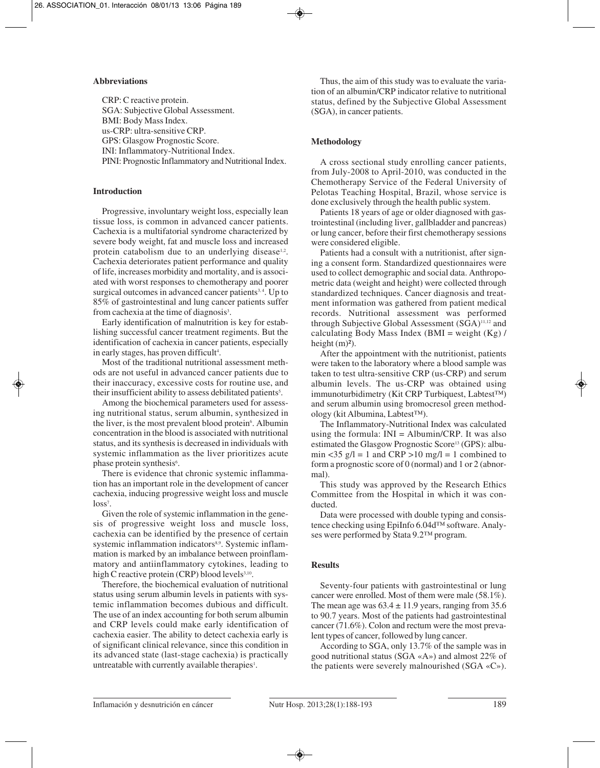# **Abbreviations**

CRP: C reactive protein. SGA: Subjective Global Assessment. BMI: Body Mass Index. us-CRP: ultra-sensitive CRP. GPS: Glasgow Prognostic Score. INI: Inflammatory-Nutritional Index. PINI: Prognostic Inflammatory and Nutritional Index.

# **Introduction**

Progressive, involuntary weight loss, especially lean tissue loss, is common in advanced cancer patients. Cachexia is a multifatorial syndrome characterized by severe body weight, fat and muscle loss and increased protein catabolism due to an underlying disease<sup>1,2</sup>. Cachexia deteriorates patient performance and quality of life, increases morbidity and mortality, and is associated with worst responses to chemotherapy and poorer surgical outcomes in advanced cancer patients<sup>3,4</sup>. Up to 85% of gastrointestinal and lung cancer patients suffer from cachexia at the time of diagnosis<sup>3</sup>.

Early identification of malnutrition is key for establishing successful cancer treatment regiments. But the identification of cachexia in cancer patients, especially in early stages, has proven difficult<sup>4</sup>.

Most of the traditional nutritional assessment methods are not useful in advanced cancer patients due to their inaccuracy, excessive costs for routine use, and their insufficient ability to assess debilitated patients<sup>5</sup>.

Among the biochemical parameters used for assessing nutritional status, serum albumin, synthesized in the liver, is the most prevalent blood protein<sup>6</sup>. Albumin concentration in the blood is associated with nutritional status, and its synthesis is decreased in individuals with systemic inflammation as the liver prioritizes acute phase protein synthesis<sup>6</sup>.

There is evidence that chronic systemic inflammation has an important role in the development of cancer cachexia, inducing progressive weight loss and muscle  $loss<sup>7</sup>$ .

Given the role of systemic inflammation in the genesis of progressive weight loss and muscle loss, cachexia can be identified by the presence of certain systemic inflammation indicators<sup>8,9</sup>. Systemic inflammation is marked by an imbalance between proinflammatory and antiinflammatory cytokines, leading to high C reactive protein  $(CRP)$  blood levels $3,10$ .

Therefore, the biochemical evaluation of nutritional status using serum albumin levels in patients with systemic inflammation becomes dubious and difficult. The use of an index accounting for both serum albumin and CRP levels could make early identification of cachexia easier. The ability to detect cachexia early is of significant clinical relevance, since this condition in its advanced state (last-stage cachexia) is practically untreatable with currently available therapies<sup>1</sup>.

Thus, the aim of this study was to evaluate the variation of an albumin/CRP indicator relative to nutritional status, defined by the Subjective Global Assessment (SGA), in cancer patients.

# **Methodology**

A cross sectional study enrolling cancer patients, from July-2008 to April-2010, was conducted in the Chemotherapy Service of the Federal University of Pelotas Teaching Hospital, Brazil, whose service is done exclusively through the health public system.

Patients 18 years of age or older diagnosed with gastrointestinal (including liver, gallbladder and pancreas) or lung cancer, before their first chemotherapy sessions were considered eligible.

Patients had a consult with a nutritionist, after signing a consent form. Standardized questionnaires were used to collect demographic and social data. Anthropometric data (weight and height) were collected through standardized techniques. Cancer diagnosis and treatment information was gathered from patient medical records. Nutritional assessment was performed through Subjective Global Assessment (SGA)11,12 and calculating Body Mass Index (BMI = weight  $(Kg)$ ) height  $(m)^2$ ).

After the appointment with the nutritionist, patients were taken to the laboratory where a blood sample was taken to test ultra-sensitive CRP (us-CRP) and serum albumin levels. The us-CRP was obtained using immunoturbidimetry (Kit CRP Turbiquest, Labtest™) and serum albumin using bromocresol green methodology (kit Albumina, Labtest™).

The Inflammatory-Nutritional Index was calculated using the formula:  $INI = Albumin/CRP$ . It was also estimated the Glasgow Prognostic Score13 (GPS): albumin <35  $g/l = 1$  and CRP >10 mg/l = 1 combined to form a prognostic score of 0 (normal) and 1 or 2 (abnormal).

This study was approved by the Research Ethics Committee from the Hospital in which it was conducted.

Data were processed with double typing and consistence checking using EpiInfo 6.04d™ software. Analyses were performed by Stata 9.2™ program.

# **Results**

Seventy-four patients with gastrointestinal or lung cancer were enrolled. Most of them were male (58.1%). The mean age was  $63.4 \pm 11.9$  years, ranging from 35.6 to 90.7 years. Most of the patients had gastrointestinal cancer (71.6%). Colon and rectum were the most prevalent types of cancer, followed by lung cancer.

According to SGA, only 13.7% of the sample was in good nutritional status (SGA «A») and almost 22% of the patients were severely malnourished (SGA «C»).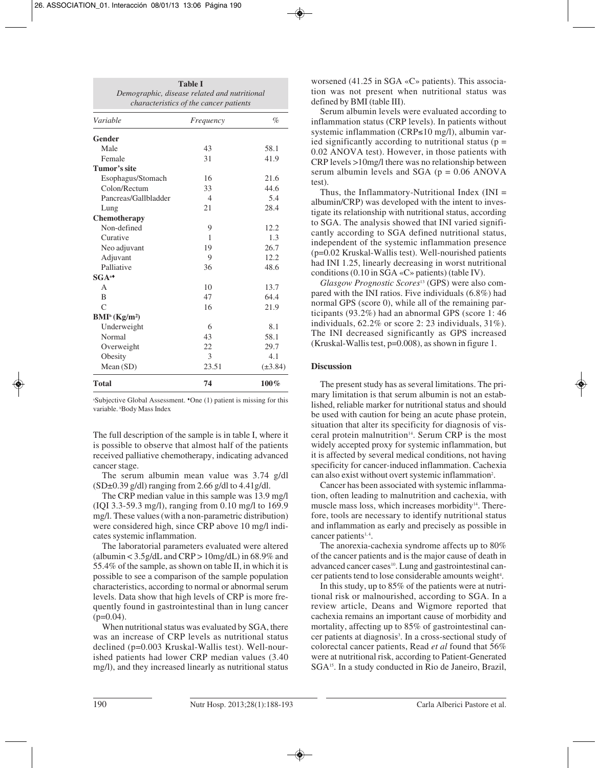| Variable                     | Frequency      | $\%$         |
|------------------------------|----------------|--------------|
| Gender                       |                |              |
| Male                         | 43             | 58.1         |
| Female                       | 31             | 41.9         |
| Tumor's site                 |                |              |
| Esophagus/Stomach            | 16             | 21.6         |
| Colon/Rectum                 | 33             | 44.6         |
| Pancreas/Gallbladder         | $\overline{4}$ | 5.4          |
| Lung                         | 21             | 28.4         |
| Chemotherapy                 |                |              |
| Non-defined                  | 9              | 12.2         |
| Curative                     | 1              | 1.3          |
| Neo adjuvant                 | 19             | 26.7         |
| Adjuvant                     | 9              | 12.2         |
| Palliative                   | 36             | 48.6         |
| $SGA^*$                      |                |              |
| $\overline{A}$               | 10             | 13.7         |
| $\overline{B}$               | 47             | 64.4         |
| $\mathsf{C}$                 | 16             | 21.9         |
| $BMI^b$ (Kg/m <sup>2</sup> ) |                |              |
| Underweight                  | 6              | 8.1          |
| Normal                       | 43             | 58.1         |
| Overweight                   | 22             | 29.7         |
| Obesity                      | 3              | 4.1          |
| Mean(SD)                     | 23.51          | $(\pm 3.84)$ |
| <b>Total</b>                 | 74             | 100%         |

a Subjective Global Assessment. ♦One (1) patient is missing for this variable. b Body Mass Index

The full description of the sample is in table I, where it is possible to observe that almost half of the patients received palliative chemotherapy, indicating advanced cancer stage.

The serum albumin mean value was 3.74 g/dl  $(SD\pm0.39 \text{ g/dl})$  ranging from 2.66 g/dl to 4.41 g/dl.

The CRP median value in this sample was 13.9 mg/l (IQI 3.3-59.3 mg/l), ranging from 0.10 mg/l to 169.9 mg/l. These values (with a non-parametric distribution) were considered high, since CRP above 10 mg/l indicates systemic inflammation.

The laboratorial parameters evaluated were altered (albumin  $<$  3.5g/dL and CRP  $>$  10mg/dL) in 68.9% and 55.4% of the sample, as shown on table II, in which it is possible to see a comparison of the sample population characteristics, according to normal or abnormal serum levels. Data show that high levels of CRP is more frequently found in gastrointestinal than in lung cancer  $(p=0.04)$ .

When nutritional status was evaluated by SGA, there was an increase of CRP levels as nutritional status declined (p=0.003 Kruskal-Wallis test). Well-nourished patients had lower CRP median values (3.40 mg/l), and they increased linearly as nutritional status worsened (41.25 in SGA «C» patients). This association was not present when nutritional status was defined by BMI (table III).

Serum albumin levels were evaluated according to inflammation status (CRP levels). In patients without systemic inflammation (CRP≤10 mg/l), albumin varied significantly according to nutritional status ( $p =$ 0.02 ANOVA test). However, in those patients with CRP levels >10mg/l there was no relationship between serum albumin levels and SGA ( $p = 0.06$  ANOVA test).

Thus, the Inflammatory-Nutritional Index (INI = albumin/CRP) was developed with the intent to investigate its relationship with nutritional status, according to SGA. The analysis showed that INI varied significantly according to SGA defined nutritional status, independent of the systemic inflammation presence (p=0.02 Kruskal-Wallis test). Well-nourished patients had INI 1.25, linearly decreasing in worst nutritional conditions (0.10 in SGA «C» patients) (table IV).

*Glasgow Prognostic Scores*<sup>13</sup> (GPS) were also compared with the INI ratios. Five individuals (6.8%) had normal GPS (score 0), while all of the remaining participants (93.2%) had an abnormal GPS (score 1: 46 individuals, 62.2% or score 2: 23 individuals, 31%). The INI decreased significantly as GPS increased (Kruskal-Wallis test, p=0.008), as shown in figure 1.

#### **Discussion**

The present study has as several limitations. The primary limitation is that serum albumin is not an established, reliable marker for nutritional status and should be used with caution for being an acute phase protein, situation that alter its specificity for diagnosis of visceral protein malnutrition<sup>14</sup>. Serum CRP is the most widely accepted proxy for systemic inflammation, but it is affected by several medical conditions, not having specificity for cancer-induced inflammation. Cachexia can also exist without overt systemic inflammation<sup>2</sup>.

Cancer has been associated with systemic inflammation, often leading to malnutrition and cachexia, with muscle mass loss, which increases morbidity<sup>14</sup>. Therefore, tools are necessary to identify nutritional status and inflammation as early and precisely as possible in cancer patients<sup>1,4</sup>.

The anorexia-cachexia syndrome affects up to 80% of the cancer patients and is the major cause of death in advanced cancer cases<sup>10</sup>. Lung and gastrointestinal cancer patients tend to lose considerable amounts weight<sup>4</sup>.

In this study, up to 85% of the patients were at nutritional risk or malnourished, according to SGA. In a review article, Deans and Wigmore reported that cachexia remains an important cause of morbidity and mortality, affecting up to 85% of gastrointestinal cancer patients at diagnosis<sup>3</sup>. In a cross-sectional study of colorectal cancer patients, Read *et al* found that 56% were at nutritional risk, according to Patient-Generated SGA15. In a study conducted in Rio de Janeiro, Brazil,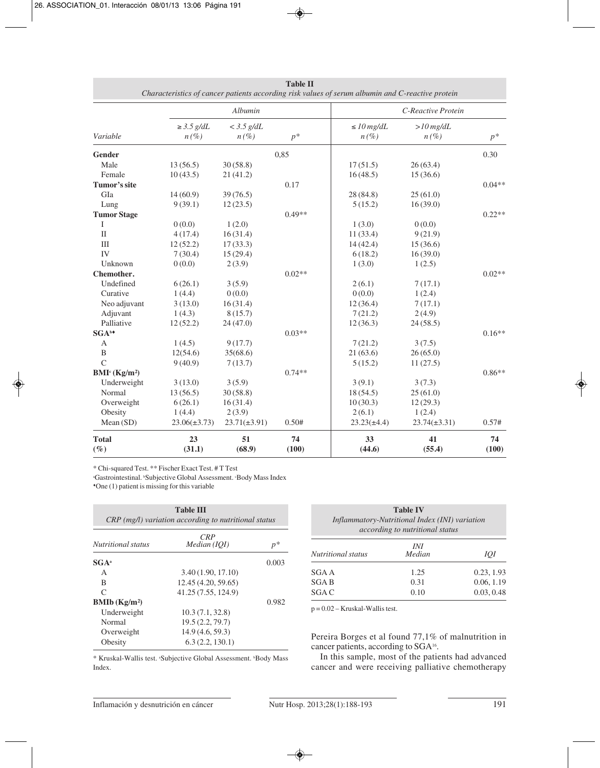|                                       |                            | Albumin                 |             | C-Reactive Protein         |                        |             |
|---------------------------------------|----------------------------|-------------------------|-------------|----------------------------|------------------------|-------------|
| Variable                              | $\geq$ 3.5 g/dL<br>$n(\%)$ | $<$ 3.5 g/dL<br>$n(\%)$ | $p^*$       | $\leq$ 10 mg/dL<br>$n(\%)$ | $>10$ mg/dL<br>$n(\%)$ | $p^*$       |
| Gender                                |                            |                         | 0,85        |                            |                        | 0.30        |
| Male                                  | 13(56.5)                   | 30(58.8)                |             | 17(51.5)                   | 26(63.4)               |             |
| Female                                | 10(43.5)                   | 21(41.2)                |             | 16(48.5)                   | 15(36.6)               |             |
| Tumor's site                          |                            |                         | 0.17        |                            |                        | $0.04**$    |
| GIa                                   | 14(60.9)                   | 39(76.5)                |             | 28(84.8)                   | 25(61.0)               |             |
| Lung                                  | 9(39.1)                    | 12(23.5)                |             | 5(15.2)                    | 16(39.0)               |             |
| <b>Tumor Stage</b>                    |                            |                         | $0.49**$    |                            |                        | $0.22**$    |
| Ι                                     | 0(0.0)                     | 1(2.0)                  |             | 1(3.0)                     | 0(0.0)                 |             |
| $\mathbf{I}$                          | 4(17.4)                    | 16(31.4)                |             | 11(33.4)                   | 9(21.9)                |             |
| $\mathop{\rm III}$                    | 12(52.2)                   | 17(33.3)                |             | 14(42.4)                   | 15(36.6)               |             |
| IV                                    | 7(30.4)                    | 15(29.4)                |             | 6(18.2)                    | 16(39.0)               |             |
| Unknown                               | 0(0.0)                     | 2(3.9)                  |             | 1(3.0)                     | 1(2.5)                 |             |
| Chemother.                            |                            |                         | $0.02**$    |                            |                        | $0.02**$    |
| Undefined                             | 6(26.1)                    | 3(5.9)                  |             | 2(6.1)                     | 7(17.1)                |             |
| Curative                              | 1(4.4)                     | 0(0.0)                  |             | 0(0.0)                     | 1(2.4)                 |             |
| Neo adjuvant                          | 3(13.0)                    | 16(31.4)                |             | 12(36.4)                   | 7(17.1)                |             |
| Adjuvant                              | 1(4.3)                     | 8(15.7)                 |             | 7(21.2)                    | 2(4.9)                 |             |
| Palliative                            | 12(52.2)                   | 24(47.0)                |             | 12(36.3)                   | 24(58.5)               |             |
| SGA <sup>b+</sup>                     |                            |                         | $0.03**$    |                            |                        | $0.16**$    |
| A                                     | 1(4.5)                     | 9(17.7)                 |             | 7(21.2)                    | 3(7.5)                 |             |
| B                                     | 12(54.6)                   | 35(68.6)                |             | 21(63.6)                   | 26(65.0)               |             |
| $\mathsf{C}$                          | 9(40.9)                    | 7(13.7)                 |             | 5(15.2)                    | 11(27.5)               |             |
| BMI <sup>c</sup> (Kg/m <sup>2</sup> ) |                            |                         | $0.74**$    |                            |                        | $0.86**$    |
| Underweight                           | 3(13.0)                    | 3(5.9)                  |             | 3(9.1)                     | 3(7.3)                 |             |
| Normal                                | 13(56.5)                   | 30(58.8)                |             | 18(54.5)                   | 25(61.0)               |             |
| Overweight                            | 6(26.1)                    | 16(31.4)                |             | 10(30.3)                   | 12(29.3)               |             |
| Obesity                               | 1(4.4)                     | 2(3.9)                  |             | 2(6.1)                     | 1(2.4)                 |             |
| Mean(SD)                              | $23.06(\pm 3.73)$          | $23.71(\pm 3.91)$       | 0.50#       | $23.23(\pm 4.4)$           | $23.74(\pm 3.31)$      | 0.57#       |
| <b>Total</b><br>$(\%)$                | 23<br>(31.1)               | 51<br>(68.9)            | 74<br>(100) | 33<br>(44.6)               | 41<br>(55.4)           | 74<br>(100) |

**Table II** *Characteristics of cancer patients according risk values of serum albumin and C-reactive protein*

\* Chi-squared Test. \*\* Fischer Exact Test. # T Test

<sup>a</sup>Gastrointestinal. <sup>b</sup>Subjective Global Assessment. <sup>c</sup>Body Mass Index ♦One (1) patient is missing for this variable

| <b>Table III</b><br>CRP (mg/l) variation according to nutritional status |                     |       |  |  |
|--------------------------------------------------------------------------|---------------------|-------|--|--|
| <i>Nutritional status</i>                                                | CRP<br>Median (IOI) | $p^*$ |  |  |
| $SGA^a$                                                                  |                     | 0.003 |  |  |
| A                                                                        | 3.40(1.90, 17.10)   |       |  |  |
| B                                                                        | 12.45 (4.20, 59.65) |       |  |  |
| $\subset$                                                                | 41.25 (7.55, 124.9) |       |  |  |
| BMIb(Kg/m <sup>2</sup> )                                                 |                     | 0.982 |  |  |
| Underweight                                                              | 10.3(7.1, 32.8)     |       |  |  |
| Normal                                                                   | 19.5(2.2, 79.7)     |       |  |  |
| Overweight                                                               | 14.9(4.6, 59.3)     |       |  |  |
| Obesity                                                                  | 6.3(2.2, 130.1)     |       |  |  |

\* Kruskal-Wallis test. \*Subjective Global Assessment. \*Body Mass Index.

| <b>Table IV</b><br>Inflammatory-Nutritional Index (INI) variation<br>according to nutritional status |               |            |  |  |
|------------------------------------------------------------------------------------------------------|---------------|------------|--|--|
| Nutritional status                                                                                   | INI<br>Median | ЮI         |  |  |
| SGA A                                                                                                | 1.25          | 0.23, 1.93 |  |  |
| SGA B                                                                                                | 0.31          | 0.06, 1.19 |  |  |
| SGA C                                                                                                | 0.10          | 0.03, 0.48 |  |  |

p = 0.02 – Kruskal-Wallis test.

Pereira Borges et al found 77,1% of malnutrition in cancer patients, according to SGA<sup>16</sup>.

In this sample, most of the patients had advanced cancer and were receiving palliative chemotherapy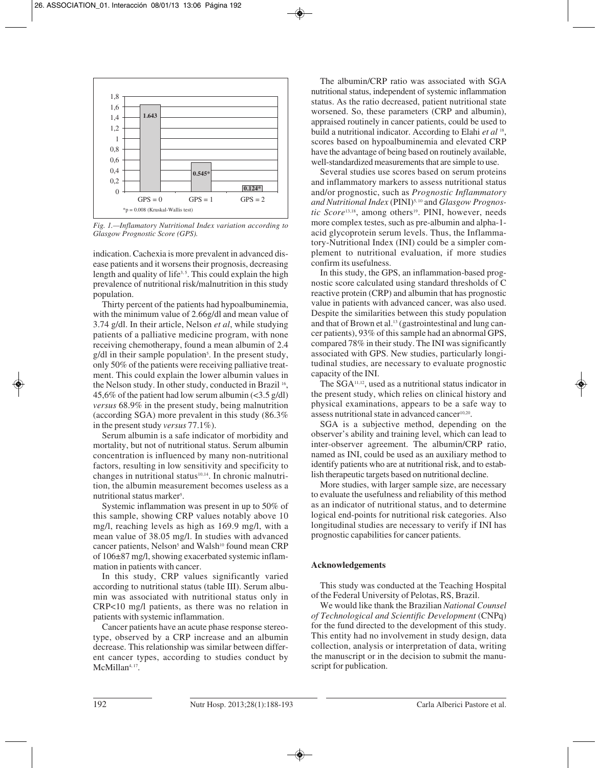

*Fig. 1.—Inflamatory Nutritional Index variation according to Glasgow Prognostic Score (GPS).*

indication. Cachexia is more prevalent in advanced disease patients and it worsens their prognosis, decreasing length and quality of life<sup>3,5</sup>. This could explain the high prevalence of nutritional risk/malnutrition in this study population.

Thirty percent of the patients had hypoalbuminemia, with the minimum value of 2.66g/dl and mean value of 3.74 g/dl. In their article, Nelson *et al*, while studying patients of a palliative medicine program, with none receiving chemotherapy, found a mean albumin of 2.4 g/dl in their sample population<sup>5</sup>. In the present study, only 50% of the patients were receiving palliative treatment. This could explain the lower albumin values in the Nelson study. In other study, conducted in Brazil 16, 45,6% of the patient had low serum albumin  $\left($ <3.5 g/dl) *versus* 68.9% in the present study, being malnutrition (according SGA) more prevalent in this study (86.3% in the present study *versus* 77.1%).

Serum albumin is a safe indicator of morbidity and mortality, but not of nutritional status. Serum albumin concentration is influenced by many non-nutritional factors, resulting in low sensitivity and specificity to changes in nutritional status $10,14$ . In chronic malnutrition, the albumin measurement becomes useless as a nutritional status marker<sup>5</sup>.

Systemic inflammation was present in up to 50% of this sample, showing CRP values notably above 10 mg/l, reaching levels as high as 169.9 mg/l, with a mean value of 38.05 mg/l. In studies with advanced cancer patients, Nelson<sup>5</sup> and Walsh<sup>10</sup> found mean CRP of 106±87 mg/l, showing exacerbated systemic inflammation in patients with cancer.

In this study, CRP values significantly varied according to nutritional status (table III). Serum albumin was associated with nutritional status only in CRP<10 mg/l patients, as there was no relation in patients with systemic inflammation.

Cancer patients have an acute phase response stereotype, observed by a CRP increase and an albumin decrease. This relationship was similar between different cancer types, according to studies conduct by McMillan<sup>4, 17</sup>.

The albumin/CRP ratio was associated with SGA nutritional status, independent of systemic inflammation status. As the ratio decreased, patient nutritional state worsened. So, these parameters (CRP and albumin), appraised routinely in cancer patients, could be used to build a nutritional indicator. According to Elahi *et al* 18, scores based on hypoalbuminemia and elevated CRP have the advantage of being based on routinely available, well-standardized measurements that are simple to use.

Several studies use scores based on serum proteins and inflammatory markers to assess nutritional status and/or prognostic, such as *Prognostic Inflammatory and Nutritional Index* (PINI)5, 10 and *Glasgow Prognostic Score*<sup>13,18</sup>, among others<sup>19</sup>. PINI, however, needs more complex testes, such as pre-albumin and alpha-1 acid glycoprotein serum levels. Thus, the Inflammatory-Nutritional Index (INI) could be a simpler complement to nutritional evaluation, if more studies confirm its usefulness.

In this study, the GPS, an inflammation-based prognostic score calculated using standard thresholds of C reactive protein (CRP) and albumin that has prognostic value in patients with advanced cancer, was also used. Despite the similarities between this study population and that of Brown et al.<sup>13</sup> (gastrointestinal and lung cancer patients), 93% of this sample had an abnormal GPS, compared 78% in their study. The INI was significantly associated with GPS. New studies, particularly longitudinal studies, are necessary to evaluate prognostic capacity of the INI.

The SGA11,12, used as a nutritional status indicator in the present study, which relies on clinical history and physical examinations, appears to be a safe way to assess nutritional state in advanced cancer<sup>10,20</sup>.

SGA is a subjective method, depending on the observer's ability and training level, which can lead to inter-observer agreement. The albumin/CRP ratio, named as INI, could be used as an auxiliary method to identify patients who are at nutritional risk, and to establish therapeutic targets based on nutritional decline.

More studies, with larger sample size, are necessary to evaluate the usefulness and reliability of this method as an indicator of nutritional status, and to determine logical end-points for nutritional risk categories. Also longitudinal studies are necessary to verify if INI has prognostic capabilities for cancer patients.

# **Acknowledgements**

This study was conducted at the Teaching Hospital of the Federal University of Pelotas, RS, Brazil.

We would like thank the Brazilian *National Counsel of Technological and Scientific Development* (CNPq) for the fund directed to the development of this study. This entity had no involvement in study design, data collection, analysis or interpretation of data, writing the manuscript or in the decision to submit the manuscript for publication.